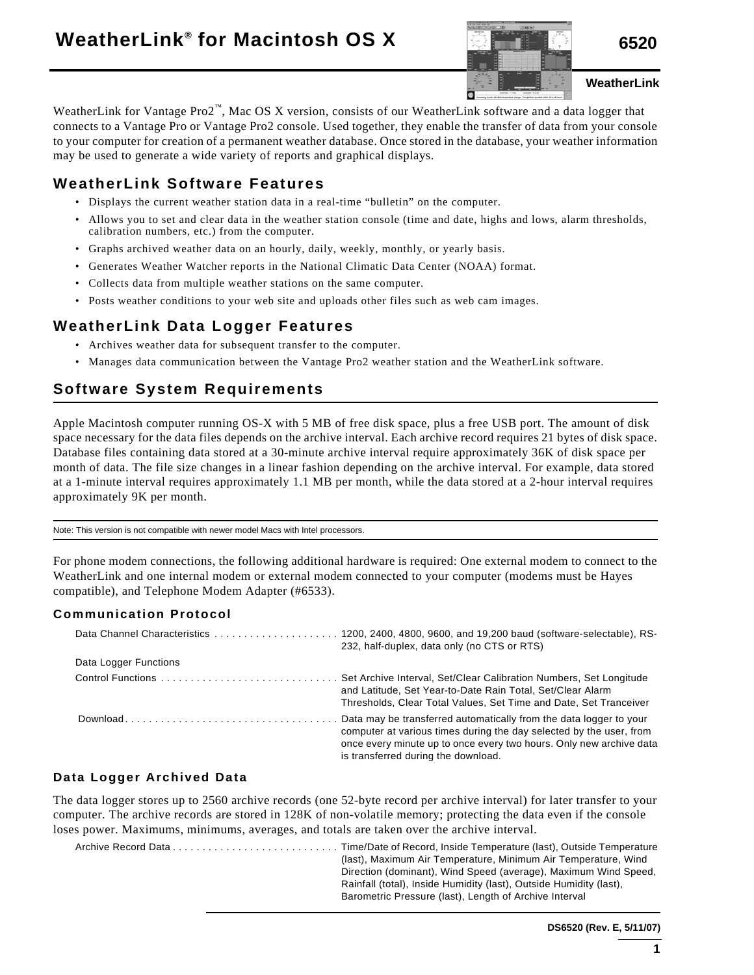

**WeatherLink**

WeatherLink for Vantage Pro2™, Mac OS X version, consists of our WeatherLink software and a data logger that connects to a Vantage Pro or Vantage Pro2 console. Used together, they enable the transfer of data from your console to your computer for creation of a permanent weather database. Once stored in the database, your weather information may be used to generate a wide variety of reports and graphical displays.

## **WeatherLink Software Features**

- Displays the current weather station data in a real-time "bulletin" on the computer.
- Allows you to set and clear data in the weather station console (time and date, highs and lows, alarm thresholds, calibration numbers, etc.) from the computer.
- Graphs archived weather data on an hourly, daily, weekly, monthly, or yearly basis.
- Generates Weather Watcher reports in the National Climatic Data Center (NOAA) format.
- Collects data from multiple weather stations on the same computer.
- Posts weather conditions to your web site and uploads other files such as web cam images.

### **WeatherLink Data Logger Features**

- Archives weather data for subsequent transfer to the computer.
- Manages data communication between the Vantage Pro2 weather station and the WeatherLink software.

# **Software System Requirements**

Apple Macintosh computer running OS-X with 5 MB of free disk space, plus a free USB port. The amount of disk space necessary for the data files depends on the archive interval. Each archive record requires 21 bytes of disk space. Database files containing data stored at a 30-minute archive interval require approximately 36K of disk space per month of data. The file size changes in a linear fashion depending on the archive interval. For example, data stored at a 1-minute interval requires approximately 1.1 MB per month, while the data stored at a 2-hour interval requires approximately 9K per month.

Note: This version is not compatible with newer model Macs with Intel processors.

For phone modem connections, the following additional hardware is required: One external modem to connect to the WeatherLink and one internal modem or external modem connected to your computer (modems must be Hayes compatible), and Telephone Modem Adapter (#6533).

#### **Communication Protocol**

|                       | 232, half-duplex, data only (no CTS or RTS)                                                                                                                                                                                                             |
|-----------------------|---------------------------------------------------------------------------------------------------------------------------------------------------------------------------------------------------------------------------------------------------------|
| Data Logger Functions |                                                                                                                                                                                                                                                         |
|                       | Control Functions  Set Archive Interval, Set/Clear Calibration Numbers, Set Longitude<br>and Latitude, Set Year-to-Date Rain Total, Set/Clear Alarm<br>Thresholds, Clear Total Values, Set Time and Date, Set Tranceiver                                |
|                       | Data may be transferred automatically from the data logger to your<br>computer at various times during the day selected by the user, from<br>once every minute up to once every two hours. Only new archive data<br>is transferred during the download. |

#### **Data Logger Archived Data**

The data logger stores up to 2560 archive records (one 52-byte record per archive interval) for later transfer to your computer. The archive records are stored in 128K of non-volatile memory; protecting the data even if the console loses power. Maximums, minimums, averages, and totals are taken over the archive interval.

Archive Record Data . . . . . . . . . . . . . . . . . . . . . . . . . . . . Time/Date of Record, Inside Temperature (last), Outside Temperature (last), Maximum Air Temperature, Minimum Air Temperature, Wind Direction (dominant), Wind Speed (average), Maximum Wind Speed, Rainfall (total), Inside Humidity (last), Outside Humidity (last), Barometric Pressure (last), Length of Archive Interval

**DS6520 (Rev. E, 5/11/07)**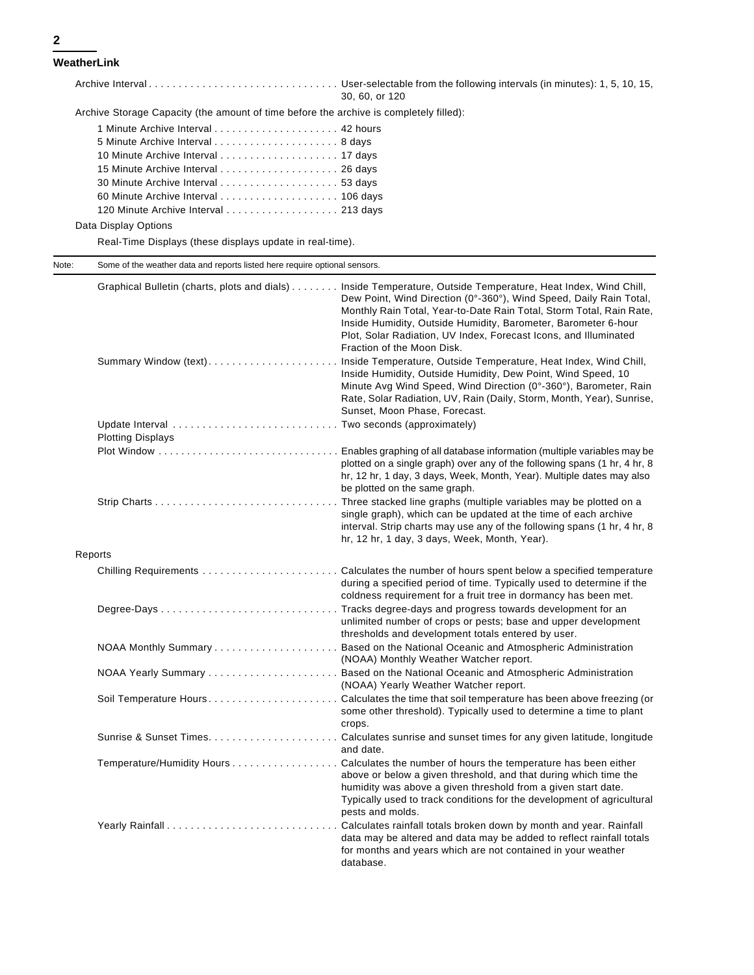**WeatherLink**

Archive Interval . . . . . . . . . . . . . . . . . . . . . . . . . . . . . . . . User-selectable from the following intervals (in minutes): 1, 5, 10, 15, 30, 60, or 120

Archive Storage Capacity (the amount of time before the archive is completely filled):

| 120 Minute Archive Interval 213 days |  |
|--------------------------------------|--|
|                                      |  |

Data Display Options

Real-Time Displays (these displays update in real-time).

Note: Some of the weather data and reports listed here require optional sensors.

|                          | Graphical Bulletin (charts, plots and dials) Inside Temperature, Outside Temperature, Heat Index, Wind Chill,<br>Dew Point, Wind Direction (0°-360°), Wind Speed, Daily Rain Total,<br>Monthly Rain Total, Year-to-Date Rain Total, Storm Total, Rain Rate,<br>Inside Humidity, Outside Humidity, Barometer, Barometer 6-hour<br>Plot, Solar Radiation, UV Index, Forecast Icons, and Illuminated<br>Fraction of the Moon Disk. |
|--------------------------|---------------------------------------------------------------------------------------------------------------------------------------------------------------------------------------------------------------------------------------------------------------------------------------------------------------------------------------------------------------------------------------------------------------------------------|
|                          | Summary Window (text) Inside Temperature, Outside Temperature, Heat Index, Wind Chill,<br>Inside Humidity, Outside Humidity, Dew Point, Wind Speed, 10<br>Minute Avg Wind Speed, Wind Direction (0°-360°), Barometer, Rain<br>Rate, Solar Radiation, UV, Rain (Daily, Storm, Month, Year), Sunrise,<br>Sunset, Moon Phase, Forecast.                                                                                            |
|                          |                                                                                                                                                                                                                                                                                                                                                                                                                                 |
| <b>Plotting Displays</b> |                                                                                                                                                                                                                                                                                                                                                                                                                                 |
|                          | plotted on a single graph) over any of the following spans (1 hr, 4 hr, 8<br>hr, 12 hr, 1 day, 3 days, Week, Month, Year). Multiple dates may also<br>be plotted on the same graph.                                                                                                                                                                                                                                             |
|                          | Three stacked line graphs (multiple variables may be plotted on a<br>single graph), which can be updated at the time of each archive<br>interval. Strip charts may use any of the following spans (1 hr, 4 hr, 8<br>hr, 12 hr, 1 day, 3 days, Week, Month, Year).                                                                                                                                                               |
| Reports                  |                                                                                                                                                                                                                                                                                                                                                                                                                                 |
|                          | during a specified period of time. Typically used to determine if the<br>coldness requirement for a fruit tree in dormancy has been met.                                                                                                                                                                                                                                                                                        |
|                          | unlimited number of crops or pests; base and upper development<br>thresholds and development totals entered by user.                                                                                                                                                                                                                                                                                                            |
|                          | (NOAA) Monthly Weather Watcher report.                                                                                                                                                                                                                                                                                                                                                                                          |
|                          | (NOAA) Yearly Weather Watcher report.                                                                                                                                                                                                                                                                                                                                                                                           |
|                          | some other threshold). Typically used to determine a time to plant<br>crops.                                                                                                                                                                                                                                                                                                                                                    |
|                          | and date.                                                                                                                                                                                                                                                                                                                                                                                                                       |
|                          | Temperature/Humidity Hours Calculates the number of hours the temperature has been either<br>above or below a given threshold, and that during which time the<br>humidity was above a given threshold from a given start date.<br>Typically used to track conditions for the development of agricultural<br>pests and molds.                                                                                                    |
|                          | Calculates rainfall totals broken down by month and year. Rainfall<br>data may be altered and data may be added to reflect rainfall totals<br>for months and years which are not contained in your weather<br>database.                                                                                                                                                                                                         |